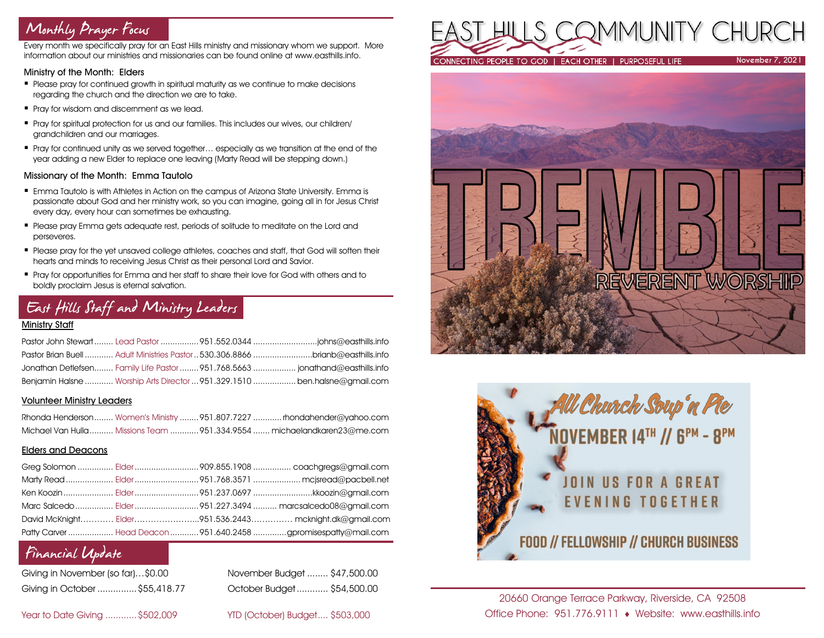# Monthly Prayer Focus

Every month we specifically pray for an East Hills ministry and missionary whom we support. More information about our ministries and missionaries can be found online at www.easthills.info.

### Ministry of the Month: Elders

- Please pray for continued arowth in spiritual maturity as we continue to make decisions regarding the church and the direction we are to take.
- Pray for wisdom and discernment as we lead.
- Pray for spiritual protection for us and our families. This includes our wives, our children/ grandchildren and our marriages.
- Pray for continued unity as we served together... especially as we transition at the end of the year adding a new Elder to replace one leaving (Marty Read will be stepping down.)

### Missionary of the Month: Emma Tautolo

- Emma Tautolo is with Athletes in Action on the campus of Arizona State University. Emma is passionate about God and her ministry work, so you can imagine, going all in for Jesus Christ every day, every hour can sometimes be exhausting.
- **Please pray Emma gets adequate rest, periods of solitude to meditate on the Lord and** perseveres.
- Please pray for the yet unsaved college athletes, coaches and staff, that God will soften their hearts and minds to receiving Jesus Christ as their personal Lord and Savior.
- Pray for opportunities for Emma and her staff to share their love for God with others and to boldly proclaim Jesus is eternal salvation.

# East Hills Staff and Ministry Leaders

### Ministry Staff

|  | Pastor Brian Buell  Adult Ministries Pastor  530.306.8866 brianb@easthills.info |
|--|---------------------------------------------------------------------------------|
|  |                                                                                 |
|  | Benjamin Halsne  Worship Arts Director  951.329.1510  ben.halsne@gmail.com      |

### Volunteer Ministry Leaders

|  | Rhonda Henderson Women's Ministry  951.807.7227  rhondahender@yahoo.com  |
|--|--------------------------------------------------------------------------|
|  | Michael Van Hulla  Missions Team  951.334.9554  michaelandkaren23@me.com |

### Elders and Deacons

|  | Ken Koozin  Elder 951.237.0697 kkoozin@gmail.com                |
|--|-----------------------------------------------------------------|
|  |                                                                 |
|  | David McKnight Elder951.536.2443 mcknight.dk@gmail.com          |
|  | Patty Carver  Head Deacon  951.640.2458 gpromisespatty@mail.com |

# Financial Update

| Giving in November (so far)\$0.00 |  |
|-----------------------------------|--|
| Giving in October  \$55,418.7     |  |

November Budget ........ \$47,500.00 Giving in October ...............\$55,418.77 October Budget............ \$54,500.00

Year to Date Giving ............\$502,009 YTD (October) Budget.... \$503,000







20660 Orange Terrace Parkway, Riverside, CA 92508 Office Phone: 951.776.9111 Website: www.easthills.info